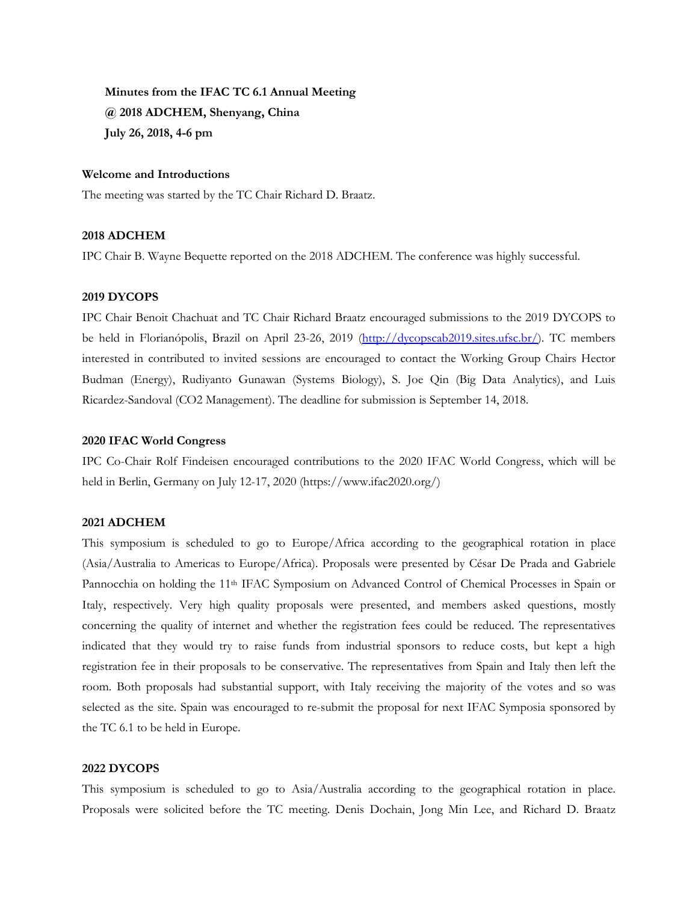**Minutes from the IFAC TC 6.1 Annual Meeting @ 2018 ADCHEM, Shenyang, China July 26, 2018, 4-6 pm**

#### **Welcome and Introductions**

The meeting was started by the TC Chair Richard D. Braatz.

#### **2018 ADCHEM**

IPC Chair B. Wayne Bequette reported on the 2018 ADCHEM. The conference was highly successful.

### **2019 DYCOPS**

IPC Chair Benoit Chachuat and TC Chair Richard Braatz encouraged submissions to the 2019 DYCOPS to be held in Florianópolis, Brazil on April 23-26, 2019 [\(http://dycopscab2019.sites.ufsc.br/\)](http://dycopscab2019.sites.ufsc.br/). TC members interested in contributed to invited sessions are encouraged to contact the Working Group Chairs Hector Budman (Energy), Rudiyanto Gunawan (Systems Biology), S. Joe Qin (Big Data Analytics), and Luis Ricardez-Sandoval (CO2 Management). The deadline for submission is September 14, 2018.

### **2020 IFAC World Congress**

IPC Co-Chair Rolf Findeisen encouraged contributions to the 2020 IFAC World Congress, which will be held in Berlin, Germany on July 12-17, 2020 (https://www.ifac2020.org/)

## **2021 ADCHEM**

This symposium is scheduled to go to Europe/Africa according to the geographical rotation in place (Asia/Australia to Americas to Europe/Africa). Proposals were presented by César De Prada and Gabriele Pannocchia on holding the 11<sup>th</sup> IFAC Symposium on Advanced Control of Chemical Processes in Spain or Italy, respectively. Very high quality proposals were presented, and members asked questions, mostly concerning the quality of internet and whether the registration fees could be reduced. The representatives indicated that they would try to raise funds from industrial sponsors to reduce costs, but kept a high registration fee in their proposals to be conservative. The representatives from Spain and Italy then left the room. Both proposals had substantial support, with Italy receiving the majority of the votes and so was selected as the site. Spain was encouraged to re-submit the proposal for next IFAC Symposia sponsored by the TC 6.1 to be held in Europe.

# **2022 DYCOPS**

This symposium is scheduled to go to Asia/Australia according to the geographical rotation in place. Proposals were solicited before the TC meeting. Denis Dochain, Jong Min Lee, and Richard D. Braatz